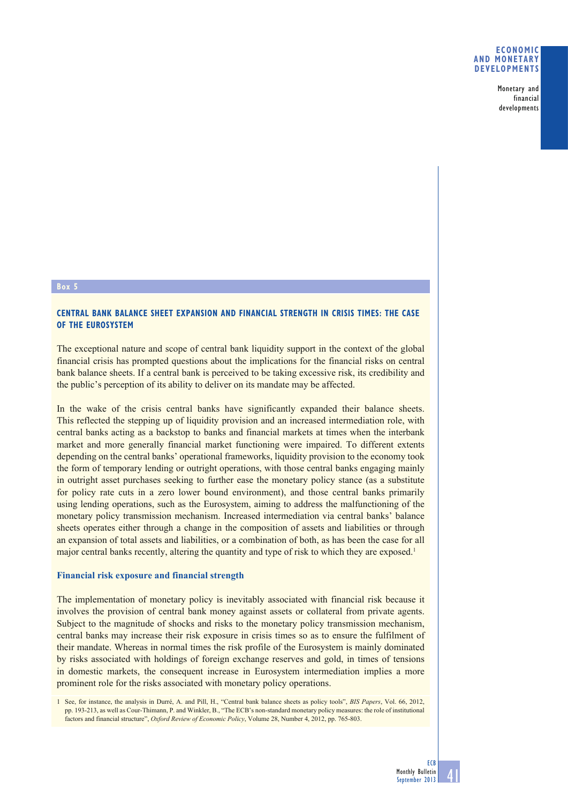## **ECONOMIC AND MONETARY DEVELOPMENTS**

Monetary and financial developments

### **Box 5**

# **CENTRAL BANK BALANCE SHEET EXPANSION AND FINANCIAL STRENGTH IN CRISIS TIMES: THE CASE OF THE EUROSYSTEM**

The exceptional nature and scope of central bank liquidity support in the context of the global financial crisis has prompted questions about the implications for the financial risks on central bank balance sheets. If a central bank is perceived to be taking excessive risk, its credibility and the public's perception of its ability to deliver on its mandate may be affected.

In the wake of the crisis central banks have significantly expanded their balance sheets. This reflected the stepping up of liquidity provision and an increased intermediation role, with central banks acting as a backstop to banks and financial markets at times when the interbank market and more generally financial market functioning were impaired. To different extents depending on the central banks' operational frameworks, liquidity provision to the economy took the form of temporary lending or outright operations, with those central banks engaging mainly in outright asset purchases seeking to further ease the monetary policy stance (as a substitute for policy rate cuts in a zero lower bound environment), and those central banks primarily using lending operations, such as the Eurosystem, aiming to address the malfunctioning of the monetary policy transmission mechanism. Increased intermediation via central banks' balance sheets operates either through a change in the composition of assets and liabilities or through an expansion of total assets and liabilities, or a combination of both, as has been the case for all major central banks recently, altering the quantity and type of risk to which they are exposed.<sup>1</sup>

#### **Financial risk exposure and financial strength**

The implementation of monetary policy is inevitably associated with financial risk because it involves the provision of central bank money against assets or collateral from private agents. Subject to the magnitude of shocks and risks to the monetary policy transmission mechanism, central banks may increase their risk exposure in crisis times so as to ensure the fulfilment of their mandate. Whereas in normal times the risk profile of the Eurosystem is mainly dominated by risks associated with holdings of foreign exchange reserves and gold, in times of tensions in domestic markets, the consequent increase in Eurosystem intermediation implies a more prominent role for the risks associated with monetary policy operations.

<sup>1</sup> See, for instance, the analysis in Durré, A. and Pill, H., "Central bank balance sheets as policy tools", *BIS Papers*, Vol. 66, 2012, pp. 193-213, as well as Cour-Thimann, P. and Winkler, B., "The ECB's non-standard monetary policy measures: the role of institutional factors and financial structure", *Oxford Review of Economic Policy*, Volume 28, Number 4, 2012, pp. 765-803.

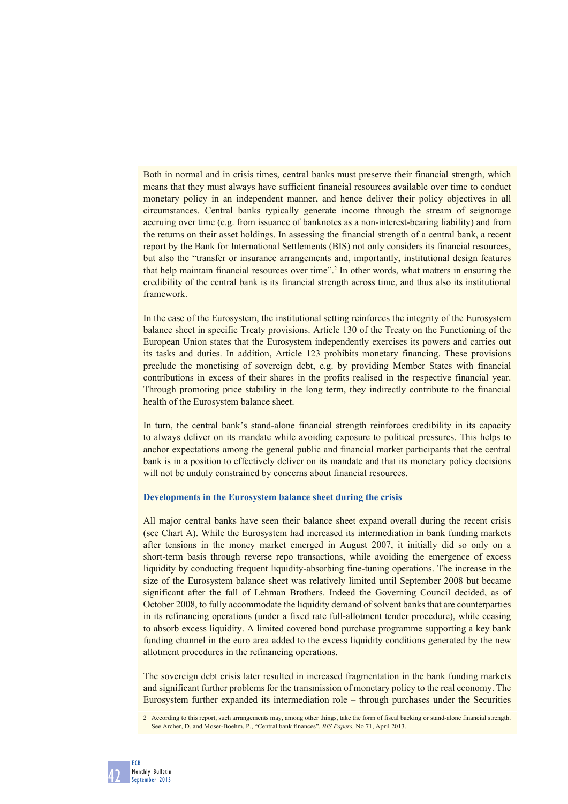Both in normal and in crisis times, central banks must preserve their financial strength, which means that they must always have sufficient financial resources available over time to conduct monetary policy in an independent manner, and hence deliver their policy objectives in all circumstances. Central banks typically generate income through the stream of seignorage accruing over time (e.g. from issuance of banknotes as a non-interest-bearing liability) and from the returns on their asset holdings. In assessing the financial strength of a central bank, a recent report by the Bank for International Settlements (BIS) not only considers its financial resources, but also the "transfer or insurance arrangements and, importantly, institutional design features that help maintain financial resources over time".<sup>2</sup> In other words, what matters in ensuring the credibility of the central bank is its financial strength across time, and thus also its institutional framework.

In the case of the Eurosystem, the institutional setting reinforces the integrity of the Eurosystem balance sheet in specific Treaty provisions. Article 130 of the Treaty on the Functioning of the European Union states that the Eurosystem independently exercises its powers and carries out its tasks and duties. In addition, Article 123 prohibits monetary financing. These provisions preclude the monetising of sovereign debt, e.g. by providing Member States with financial contributions in excess of their shares in the profits realised in the respective financial year. Through promoting price stability in the long term, they indirectly contribute to the financial health of the Eurosystem balance sheet.

In turn, the central bank's stand-alone financial strength reinforces credibility in its capacity to always deliver on its mandate while avoiding exposure to political pressures. This helps to anchor expectations among the general public and financial market participants that the central bank is in a position to effectively deliver on its mandate and that its monetary policy decisions will not be unduly constrained by concerns about financial resources.

# **Developments in the Eurosystem balance sheet during the crisis**

All major central banks have seen their balance sheet expand overall during the recent crisis (see Chart A). While the Eurosystem had increased its intermediation in bank funding markets after tensions in the money market emerged in August 2007, it initially did so only on a short-term basis through reverse repo transactions, while avoiding the emergence of excess liquidity by conducting frequent liquidity-absorbing fine-tuning operations. The increase in the size of the Eurosystem balance sheet was relatively limited until September 2008 but became significant after the fall of Lehman Brothers. Indeed the Governing Council decided, as of October 2008, to fully accommodate the liquidity demand of solvent banks that are counterparties in its refinancing operations (under a fixed rate full-allotment tender procedure), while ceasing to absorb excess liquidity. A limited covered bond purchase programme supporting a key bank funding channel in the euro area added to the excess liquidity conditions generated by the new allotment procedures in the refinancing operations.

The sovereign debt crisis later resulted in increased fragmentation in the bank funding markets and significant further problems for the transmission of monetary policy to the real economy. The Eurosystem further expanded its intermediation role – through purchases under the Securities

<sup>2</sup> According to this report, such arrangements may, among other things, take the form of fiscal backing or stand-alone financial strength. See Archer, D. and Moser-Boehm, P., "Central bank finances", *BIS Papers,* No 71, April 2013.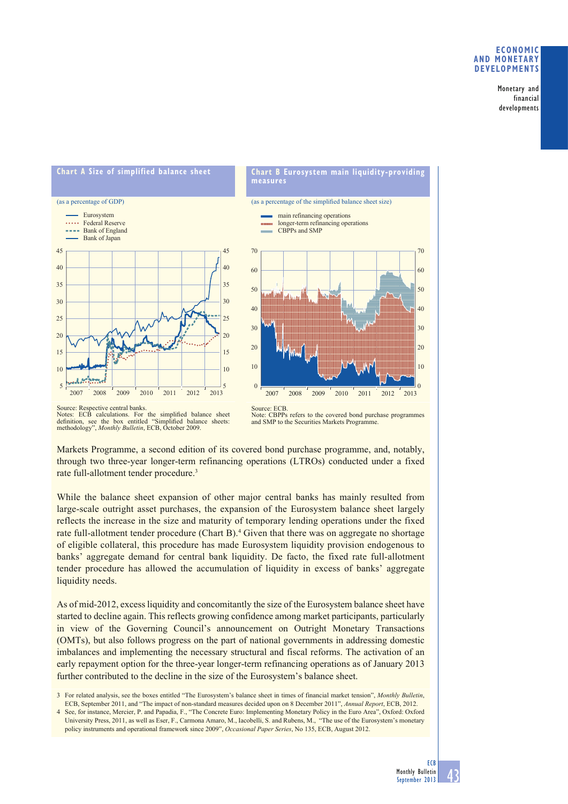# **ECONOMIC AND MONETARY DEVELOPMENTS**

Monetary and financial developments



#### Source: Respective central banks. Notes: ECB calculations. For the simplified balance sheet definition, see the box entitled "Simplified balance sheets: methodology", *Monthly Bulletin*, ECB, October 2009.

Markets Programme, a second edition of its covered bond purchase programme, and, notably, through two three-year longer-term refinancing operations (LTROs) conducted under a fixed rate full-allotment tender procedure.<sup>3</sup>

CBPPs refers to the covered bond purchase programmes

and SMP to the Securities Markets Programme.

While the balance sheet expansion of other major central banks has mainly resulted from large-scale outright asset purchases, the expansion of the Eurosystem balance sheet largely reflects the increase in the size and maturity of temporary lending operations under the fixed rate full-allotment tender procedure (Chart B).<sup>4</sup> Given that there was on aggregate no shortage of eligible collateral, this procedure has made Eurosystem liquidity provision endogenous to banks' aggregate demand for central bank liquidity. De facto, the fixed rate full-allotment tender procedure has allowed the accumulation of liquidity in excess of banks' aggregate liquidity needs.

As of mid-2012, excess liquidity and concomitantly the size of the Eurosystem balance sheet have started to decline again. This reflects growing confidence among market participants, particularly in view of the Governing Council's announcement on Outright Monetary Transactions (OMTs), but also follows progress on the part of national governments in addressing domestic imbalances and implementing the necessary structural and fiscal reforms. The activation of an early repayment option for the three-year longer-term refinancing operations as of January 2013 further contributed to the decline in the size of the Eurosystem's balance sheet.

3 For related analysis, see the boxes entitled "The Eurosystem's balance sheet in times of financial market tension", *Monthly Bulletin*, ECB, September 2011, and "The impact of non-standard measures decided upon on 8 December 2011", *Annual Report*, ECB, 2012.

4 See, for instance, Mercier, P. and Papadia, F., "The Concrete Euro: Implementing Monetary Policy in the Euro Area", Oxford: Oxford University Press, 2011, as well as Eser, F., Carmona Amaro, M., Iacobelli, S. and Rubens, M., "The use of the Eurosystem's monetary policy instruments and operational framework since 2009", *Occasional Paper Series*, No 135, ECB, August 2012.